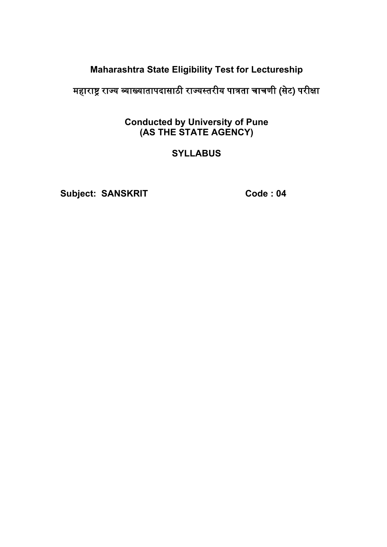### **Maharashtra State Eligibility Test for Lectureship**

### महाराष्ट्र राज्य व्याख्यातापदासाठी राज्यस्तरीय पात्रता चाचणी (सेट) परीक्षा

#### **Conducted by University of Pune (AS THE STATE AGENCY)**

#### **SYLLABUS**

Subject: SANSKRIT Code : 04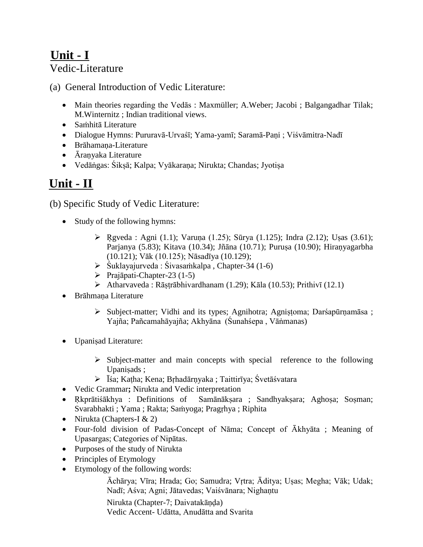### **Unit - I** Vedic-Literature

(a) General Introduction of Vedic Literature:

- Main theories regarding the Vedās : Maxmüller; A.Weber; Jacobi ; Balgangadhar Tilak; M.Winternitz ; Indian traditional views.
- Saṁhitā Literature
- Dialogue Hymns: Pururavā-Urvaśī; Yama-yamī; Saramā-Paṇi ; Viśvāmitra-Nadī
- Brāhamana-Literature
- Āranyaka Literature
- Vedāṅgas: Śikșā; Kalpa; Vyākaraṇa; Nirukta; Chandas; Jyotișa

## **Unit - II**

(b) Specific Study of Vedic Literature:

- Study of the following hymns:
	- $\triangleright$  Rgveda : Agni (1.1); Varuṇa (1.25); Sūrya (1.125); Indra (2.12); Uṣas (3.61); Parjanya (5.83); Kitava (10.34); Jñāna (10.71); Puruṣa (10.90); Hiraṇyagarbha (10.121); Vāk (10.125); Nāsadīya (10.129);
	- $\triangleright$  Śuklayajurveda : Śivasamkalpa, Chapter-34 (1-6)
	- $\triangleright$  Prajāpati-Chapter-23 (1-5)
	- Atharvaveda : Rāṣṭrābhivardhanam (1.29); Kāla (10.53); Prithivī (12.1)
- Brāhmana Literature
	- $\triangleright$  Subject-matter; Vidhi and its types; Agnihotra; Agnistoma; Darśapūrnamāsa ; Yajña; Pañcamahāyajña; Akhyāna (Śunahśepa , Vāṅmanas)
- Upaniṣad Literature:
	- $\triangleright$  Subject-matter and main concepts with special reference to the following Upanisads ;
	- Īśa; Kaṭha; Kena; Bṛhadārṇyaka ; Taittirīya; Śvetāśvatara
- Vedic Grammar**;** Nirukta and Vedic interpretation
- Rkprātiśākhya : Definitions of Samānākṣara ; Sandhyakṣara; Aghoṣa; Sosman; Svarabhakti ; Yama ; Rakta; Saṁyoga; Pragṛhya ; Riphita
- Nirukta (Chapters-I  $& 2$ )
- Four-fold division of Padas-Concept of Nāma; Concept of Ākhyāta ; Meaning of Upasargas; Categories of Nipātas.
- Purposes of the study of Nirukta
- Principles of Etymology
- Etymology of the following words:

Āchārya; Vīra; Hrada; Go; Samudra; Vṛtra; Āditya; Uṣas; Megha; Vāk; Udak; Nadī; Aśva; Agni; Jātavedas; Vaiśvānara; Nighantu

Nirukta (Chapter-7; Daivatakāṇḍa)

Vedic Accent- Udātta, Anudātta and Svarita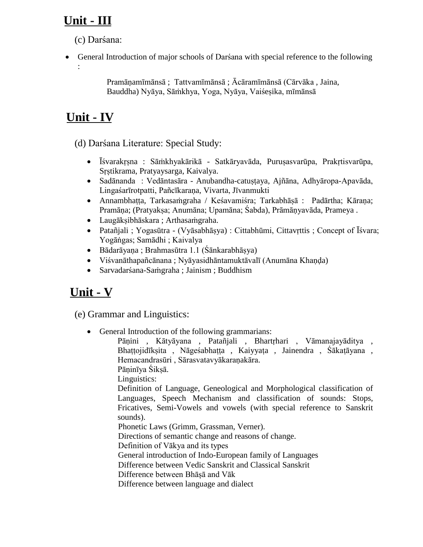## **Unit - III**

(c) Darśana:

 General Introduction of major schools of Darśana with special reference to the following :

> Pramāṇamīmānsā ; Tattvamīmānsā ; Ācāramīmānsā (Cārvāka , Jaina, Bauddha) Nyāya, Sāṁkhya, Yoga, Nyāya, Vaiśeṣika, mīmānsā

# **Unit - IV**

(d) Darśana Literature: Special Study:

- Īśvarakṛṣna : Sāṁkhyakārikā Satkāryavāda, Puruṣasvarūpa, Prakṛtisvarūpa, Sṛștikrama, Pratyaysarga, Kaivalya.
- Sadānanda : Vedāntasāra Anubandha-catustaya, Ajñāna, Adhyāropa-Apavāda, Lingaśarīrotpatti, Pañcīkarana, Vivarta, Jīvanmukti
- Annambhaṭṭa, Tarkasaṁgraha / Keśavamiśra; Tarkabhāṣā : Padārtha; Kāraṇa; Pramāṇa; (Pratyakṣa; Anumāna; Upamāna; Śabda), Prāmāṇyavāda, Prameya .
- Laugākṣibhāskara ; Arthasaṁgraha.
- Patañjali ; Yogasūtra (Vyāsabhāṣya) : Cittabhūmi, Cittavṛttis ; Concept of Īśvara; Yogāṅgas; Samādhi ; Kaivalya
- Bādarāyaṇa ; Brahmasūtra 1.1 (Śānkarabhāṣya)
- Viśvanāthapañcānana ; Nyāyasidhāntamuktāvalī (Anumāna Khaṇḍa)
- Sarvadarśana-Saṁgraha ; Jainism ; Buddhism

## **Unit - V**

(e) Grammar and Linguistics:

General Introduction of the following grammarians:

Pāṇini , Kātyāyana , Patañjali , Bhartṛhari , Vāmanajayāditya , Bhaṭṭojidīkṣita , Nāgeśabhaṭṭa , Kaiyyaṭa , Jainendra , Śākaṭāyana , Hemacandrasūri , Sārasvatavyākaraṇakāra.

Pāninīya Śiksā.

Linguistics:

Definition of Language, Geneological and Morphological classification of Languages, Speech Mechanism and classification of sounds: Stops, Fricatives, Semi-Vowels and vowels (with special reference to Sanskrit sounds).

Phonetic Laws (Grimm, Grassman, Verner).

Directions of semantic change and reasons of change.

Definition of Vākya and its types

General introduction of Indo-European family of Languages

Difference between Vedic Sanskrit and Classical Sanskrit

Difference between Bhāșā and Vāk

Difference between language and dialect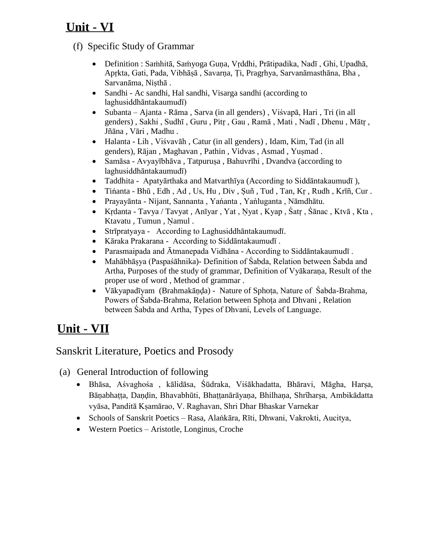## **Unit - VI**

- (f) Specific Study of Grammar
	- Definition : Saṁhitā, Saṁyoga Guṇa, Vṛddhi, Prātipadika, Nadī , Ghi, Upadhā, Apṛkta, Gati, Pada, Vibhāṣā , Savarṇa, Ṭi, Pragṛhya, Sarvanāmasthāna, Bha , Sarvanāma, Niṣthā .
	- Sandhi Ac sandhi, Hal sandhi, Visarga sandhi (according to laghusiddhāntakaumudī)
	- Subanta Ajanta Rāma , Sarva (in all genders) , Viśvapā, Hari , Tri (in all genders) , Sakhi , Sudhī , Guru , Pitṛ , Gau , Ramā , Mati , Nadī , Dhenu , Mātṛ , Jñāna , Vāri , Madhu .
	- Halanta Lih , Viśvavāh , Catur (in all genders) , Idam, Kim, Tad (in all genders), Rājan , Maghavan , Pathin , Vidvas , Asmad , Yuṣmad .
	- Samāsa Avyayībhāva, Tatpuruṣa, Bahuvrīhi, Dvandva (according to laghusiddhāntakaumudī)
	- Taddhita Apatyārthaka and Matvarthīya (According to Siddāntakaumudī ),
	- Tiṅanta Bhū , Edh , Ad , Us, Hu , Div , Ṣuñ , Tud , Tan, Kṛ , Rudh , Krīñ, Cur .
	- Prayayānta Nijant, Sannanta , Yańanta , Yańluganta , Nāmdhātu.
	- Krdanta Tavya / Tavyat, Anīyar, Yat, Nyat, Kyap, Śatr, Śānac, Ktvā, Kta, Ktavatu, Tumun, Namul.
	- Strīpratyaya According to Laghusiddhāntakaumudī.
	- Kāraka Prakarana According to Siddāntakaumudī .
	- Parasmaipada and Ātmanepada Vidhāna According to Siddāntakaumudī .
	- Mahābhāșya (Paspaśāhnika)- Definition of Śabda, Relation between Śabda and Artha, Purposes of the study of grammar, Definition of Vyākaraṇa, Result of the proper use of word , Method of grammar .
	- Vākyapadīyam (Brahmakānda) Nature of Sphota, Nature of Śabda-Brahma, Powers of Śabda-Brahma, Relation between Sphoṭa and Dhvani , Relation between Śabda and Artha, Types of Dhvani, Levels of Language.

# **Unit - VII**

### Sanskrit Literature, Poetics and Prosody

- (a) General Introduction of following
	- Bhāsa, Aśvaghośa , kālidāsa, Śūdraka, Viśākhadatta, Bhāravi, Māgha, Harṣa, Bāṇabhaṭṭa, Daṇḍin, Bhavabhūti, Bhaṭṭanārāyaṇa, Bhilhaṇa, Shrῑharṣa, Ambikādatta vyāsa, Panditā Kṣamārao, V. Raghavan, Shri Dhar Bhaskar Varnekar
	- Schools of Sanskrit Poetics Rasa, Alaṅkāra, Rīti, Dhwani, Vakrokti, Aucitya,
	- Western Poetics Aristotle, Longinus, Croche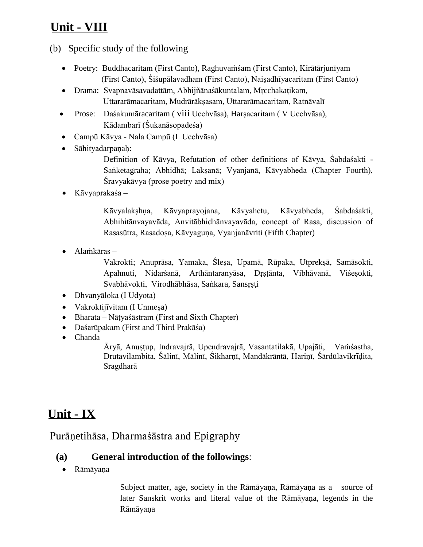## **Unit - VIII**

#### (b) Specific study of the following

- Poetry: Buddhacaritam (First Canto), Raghuvaṁśam (First Canto), Kirātārjunīyam (First Canto), Śiśupālavadham (First Canto), Naiṣadhīyacaritam (First Canto)
- Drama: Svapnavāsavadattām, Abhijñānaśākuntalam, Mṛcchakaṭikam, Uttararāmacaritam, Mudrārāksasam, Uttararāmacaritam, Ratnāvalī
- Prose: Daśakumāracaritam ( viii Ucchvāsa), Harṣacaritam ( V Ucchvāsa), Kādambarī (Śukanāsopadeśa)
- Campū Kāvya Nala Campū (I Ucchvāsa)
- Sāhityadarpaṇaḥ:

Definition of Kāvya, Refutation of other definitions of Kāvya, Śabdaśakti - Saṅketagraha; Abhidhā; Lakṣanā; Vyanjanā, Kāvyabheda (Chapter Fourth), Śravyakāvya (prose poetry and mix)

Kāvyaprakaśa –

Kāvyalakṣhṇa, Kāvyaprayojana, Kāvyahetu, Kāvyabheda, Śabdaśakti, Abhihitānvayavāda, Anvitābhidhānvayavāda, concept of Rasa, discussion of Rasasūtra, Rasadoṣa, Kāvyaguṇa, Vyanjanāvriti (Fifth Chapter)

Alaṁkāras –

Vakrokti; Anuprāsa, Yamaka, Śleṣa, Upamā, Rūpaka, Utprekṣā, Samāsokti, Apahnuti, Nidarśanā, Arthāntaranyāsa, Dṛṣṭānta, Vibhāvanā, Viśeṣokti, Svabhāvokti, Virodhābhāsa, Saṅkara, Sansṛṣṭi

- Dhvanyāloka (I Udyota)
- Vakroktijīvitam (I Unmeṣa)
- Bharata Nāṭyaśāstram (First and Sixth Chapter)
- Daśarūpakam (First and Third Prakāśa)
- Chanda –

Āryā, Anuṣṭup, Indravajrā, Upendravajrā, Vasantatilakā, Upajāti, Vaṁśastha, Drutavilambita, Śālinī, Mālinī, Śikharṇī, Mandākrāntā, Hariṇī, Śārdūlavikrīdita, Sragdharā

## **Unit - IX**

#### Purāṇetihāsa, Dharmaśāstra and Epigraphy

#### **(a) General introduction of the followings**:

Rāmāyaṇa –

Subject matter, age, society in the Rāmāyaṇa, Rāmāyaṇa as a source of later Sanskrit works and literal value of the Rāmāyaṇa, legends in the Rāmāyaṇa